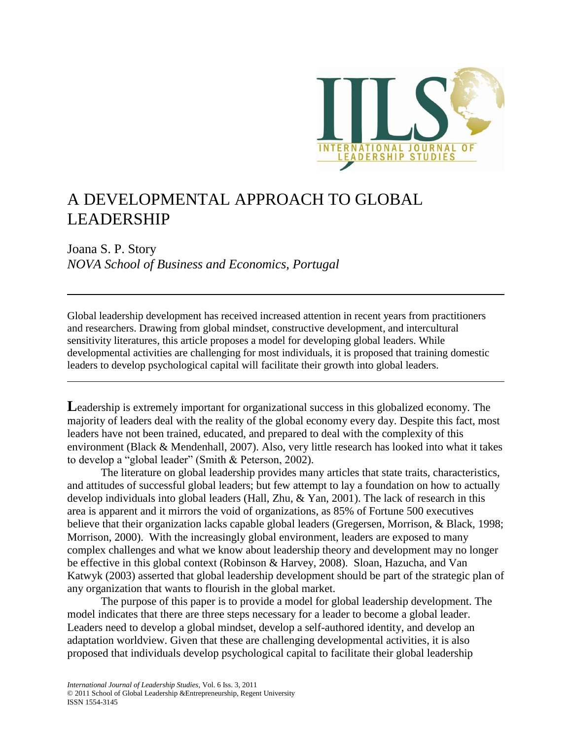

# A DEVELOPMENTAL APPROACH TO GLOBAL LEADERSHIP

Joana S. P. Story *NOVA School of Business and Economics, Portugal*

Global leadership development has received increased attention in recent years from practitioners and researchers. Drawing from global mindset, constructive development, and intercultural sensitivity literatures, this article proposes a model for developing global leaders. While developmental activities are challenging for most individuals, it is proposed that training domestic leaders to develop psychological capital will facilitate their growth into global leaders.

**L**eadership is extremely important for organizational success in this globalized economy. The majority of leaders deal with the reality of the global economy every day. Despite this fact, most leaders have not been trained, educated, and prepared to deal with the complexity of this environment (Black & Mendenhall, 2007). Also, very little research has looked into what it takes to develop a "global leader" (Smith & Peterson, 2002).

The literature on global leadership provides many articles that state traits, characteristics, and attitudes of successful global leaders; but few attempt to lay a foundation on how to actually develop individuals into global leaders (Hall, Zhu, & Yan, 2001). The lack of research in this area is apparent and it mirrors the void of organizations, as 85% of Fortune 500 executives believe that their organization lacks capable global leaders (Gregersen, Morrison, & Black, 1998; Morrison, 2000). With the increasingly global environment, leaders are exposed to many complex challenges and what we know about leadership theory and development may no longer be effective in this global context (Robinson & Harvey, 2008). Sloan, Hazucha, and Van Katwyk (2003) asserted that global leadership development should be part of the strategic plan of any organization that wants to flourish in the global market.

The purpose of this paper is to provide a model for global leadership development. The model indicates that there are three steps necessary for a leader to become a global leader. Leaders need to develop a global mindset, develop a self-authored identity, and develop an adaptation worldview. Given that these are challenging developmental activities, it is also proposed that individuals develop psychological capital to facilitate their global leadership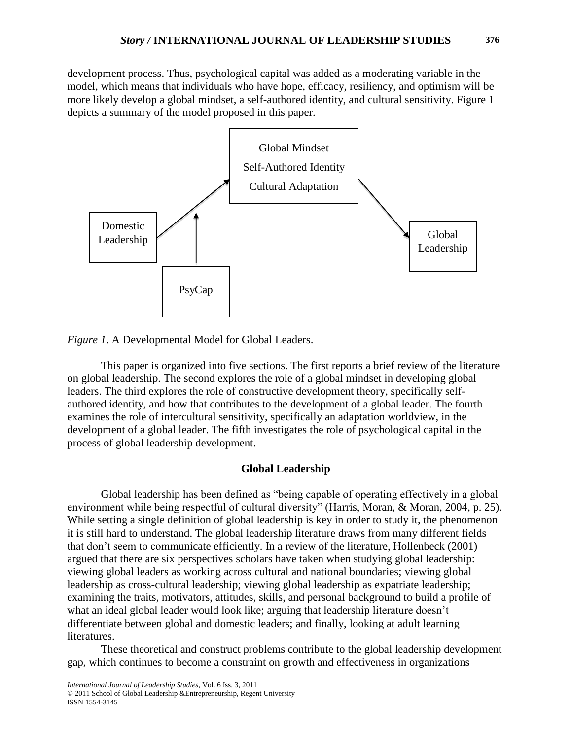development process. Thus, psychological capital was added as a moderating variable in the model, which means that individuals who have hope, efficacy, resiliency, and optimism will be more likely develop a global mindset, a self-authored identity, and cultural sensitivity. Figure 1 depicts a summary of the model proposed in this paper.





This paper is organized into five sections. The first reports a brief review of the literature on global leadership. The second explores the role of a global mindset in developing global leaders. The third explores the role of constructive development theory, specifically selfauthored identity, and how that contributes to the development of a global leader. The fourth examines the role of intercultural sensitivity, specifically an adaptation worldview, in the development of a global leader. The fifth investigates the role of psychological capital in the process of global leadership development.

## **Global Leadership**

Global leadership has been defined as "being capable of operating effectively in a global environment while being respectful of cultural diversity" (Harris, Moran, & Moran, 2004, p. 25). While setting a single definition of global leadership is key in order to study it, the phenomenon it is still hard to understand. The global leadership literature draws from many different fields that don't seem to communicate efficiently. In a review of the literature, Hollenbeck (2001) argued that there are six perspectives scholars have taken when studying global leadership: viewing global leaders as working across cultural and national boundaries; viewing global leadership as cross-cultural leadership; viewing global leadership as expatriate leadership; examining the traits, motivators, attitudes, skills, and personal background to build a profile of what an ideal global leader would look like; arguing that leadership literature doesn't differentiate between global and domestic leaders; and finally, looking at adult learning literatures.

These theoretical and construct problems contribute to the global leadership development gap, which continues to become a constraint on growth and effectiveness in organizations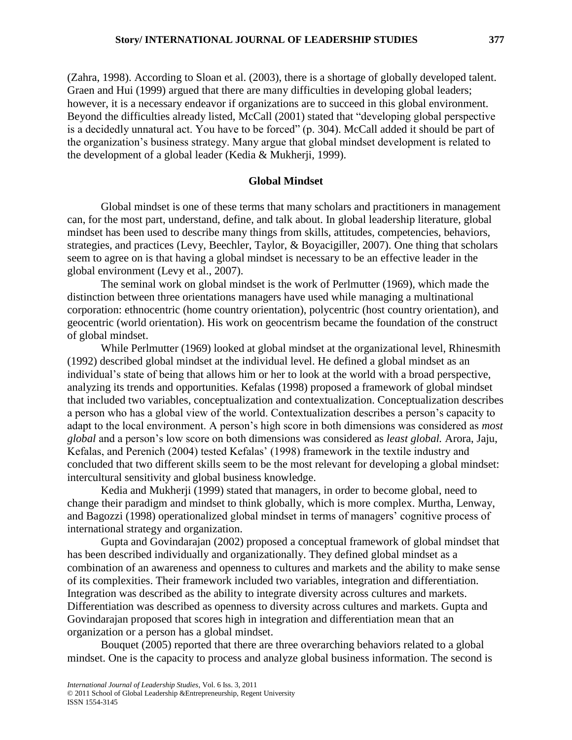(Zahra, 1998). According to Sloan et al. (2003), there is a shortage of globally developed talent. Graen and Hui (1999) argued that there are many difficulties in developing global leaders; however, it is a necessary endeavor if organizations are to succeed in this global environment. Beyond the difficulties already listed, McCall (2001) stated that "developing global perspective is a decidedly unnatural act. You have to be forced" (p. 304). McCall added it should be part of the organization's business strategy. Many argue that global mindset development is related to the development of a global leader (Kedia & Mukherji, 1999).

## **Global Mindset**

Global mindset is one of these terms that many scholars and practitioners in management can, for the most part, understand, define, and talk about. In global leadership literature, global mindset has been used to describe many things from skills, attitudes, competencies, behaviors, strategies, and practices (Levy, Beechler, Taylor, & Boyacigiller, 2007). One thing that scholars seem to agree on is that having a global mindset is necessary to be an effective leader in the global environment (Levy et al., 2007).

The seminal work on global mindset is the work of Perlmutter (1969), which made the distinction between three orientations managers have used while managing a multinational corporation: ethnocentric (home country orientation), polycentric (host country orientation), and geocentric (world orientation). His work on geocentrism became the foundation of the construct of global mindset.

While Perlmutter (1969) looked at global mindset at the organizational level, Rhinesmith (1992) described global mindset at the individual level. He defined a global mindset as an individual's state of being that allows him or her to look at the world with a broad perspective, analyzing its trends and opportunities. Kefalas (1998) proposed a framework of global mindset that included two variables, conceptualization and contextualization. Conceptualization describes a person who has a global view of the world. Contextualization describes a person's capacity to adapt to the local environment. A person's high score in both dimensions was considered as *most global* and a person's low score on both dimensions was considered as *least global.* Arora, Jaju, Kefalas, and Perenich (2004) tested Kefalas' (1998) framework in the textile industry and concluded that two different skills seem to be the most relevant for developing a global mindset: intercultural sensitivity and global business knowledge.

Kedia and Mukherji (1999) stated that managers, in order to become global, need to change their paradigm and mindset to think globally, which is more complex. Murtha, Lenway, and Bagozzi (1998) operationalized global mindset in terms of managers' cognitive process of international strategy and organization.

Gupta and Govindarajan (2002) proposed a conceptual framework of global mindset that has been described individually and organizationally. They defined global mindset as a combination of an awareness and openness to cultures and markets and the ability to make sense of its complexities. Their framework included two variables, integration and differentiation. Integration was described as the ability to integrate diversity across cultures and markets. Differentiation was described as openness to diversity across cultures and markets. Gupta and Govindarajan proposed that scores high in integration and differentiation mean that an organization or a person has a global mindset.

Bouquet (2005) reported that there are three overarching behaviors related to a global mindset. One is the capacity to process and analyze global business information. The second is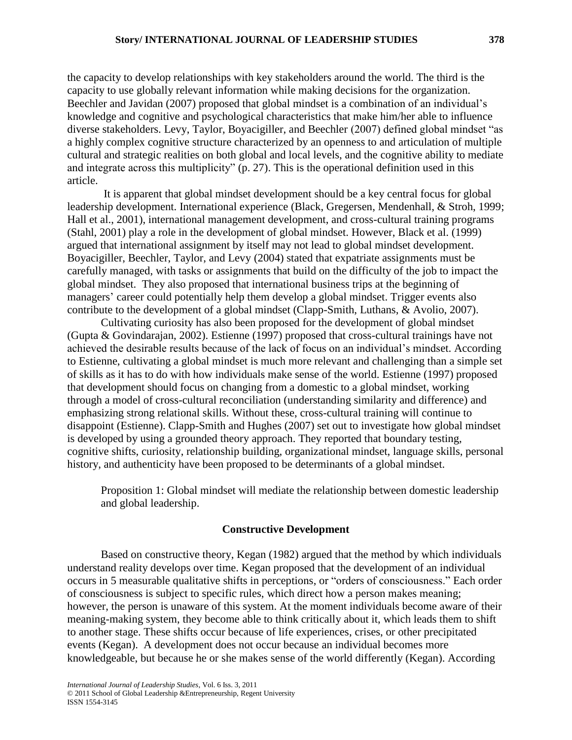the capacity to develop relationships with key stakeholders around the world. The third is the capacity to use globally relevant information while making decisions for the organization. Beechler and Javidan (2007) proposed that global mindset is a combination of an individual's knowledge and cognitive and psychological characteristics that make him/her able to influence diverse stakeholders. Levy, Taylor, Boyacigiller, and Beechler (2007) defined global mindset "as a highly complex cognitive structure characterized by an openness to and articulation of multiple cultural and strategic realities on both global and local levels, and the cognitive ability to mediate and integrate across this multiplicity"  $(p. 27)$ . This is the operational definition used in this article.

It is apparent that global mindset development should be a key central focus for global leadership development. International experience (Black, Gregersen, Mendenhall, & Stroh, 1999; Hall et al., 2001), international management development, and cross-cultural training programs (Stahl, 2001) play a role in the development of global mindset. However, Black et al. (1999) argued that international assignment by itself may not lead to global mindset development. Boyacigiller, Beechler, Taylor, and Levy (2004) stated that expatriate assignments must be carefully managed, with tasks or assignments that build on the difficulty of the job to impact the global mindset. They also proposed that international business trips at the beginning of managers' career could potentially help them develop a global mindset. Trigger events also contribute to the development of a global mindset (Clapp-Smith, Luthans, & Avolio, 2007).

Cultivating curiosity has also been proposed for the development of global mindset (Gupta & Govindarajan, 2002). Estienne (1997) proposed that cross-cultural trainings have not achieved the desirable results because of the lack of focus on an individual's mindset. According to Estienne, cultivating a global mindset is much more relevant and challenging than a simple set of skills as it has to do with how individuals make sense of the world. Estienne (1997) proposed that development should focus on changing from a domestic to a global mindset, working through a model of cross-cultural reconciliation (understanding similarity and difference) and emphasizing strong relational skills. Without these, cross-cultural training will continue to disappoint (Estienne). Clapp-Smith and Hughes (2007) set out to investigate how global mindset is developed by using a grounded theory approach. They reported that boundary testing, cognitive shifts, curiosity, relationship building, organizational mindset, language skills, personal history, and authenticity have been proposed to be determinants of a global mindset.

Proposition 1: Global mindset will mediate the relationship between domestic leadership and global leadership.

#### **Constructive Development**

Based on constructive theory, Kegan (1982) argued that the method by which individuals understand reality develops over time. Kegan proposed that the development of an individual occurs in 5 measurable qualitative shifts in perceptions, or "orders of consciousness." Each order of consciousness is subject to specific rules, which direct how a person makes meaning; however, the person is unaware of this system. At the moment individuals become aware of their meaning-making system, they become able to think critically about it, which leads them to shift to another stage. These shifts occur because of life experiences, crises, or other precipitated events (Kegan). A development does not occur because an individual becomes more knowledgeable, but because he or she makes sense of the world differently (Kegan). According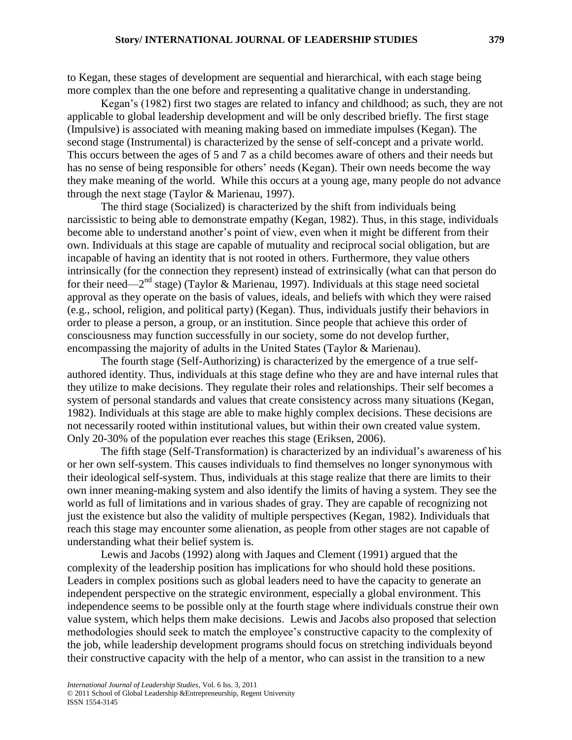to Kegan, these stages of development are sequential and hierarchical, with each stage being more complex than the one before and representing a qualitative change in understanding.

Kegan's (1982) first two stages are related to infancy and childhood; as such, they are not applicable to global leadership development and will be only described briefly. The first stage (Impulsive) is associated with meaning making based on immediate impulses (Kegan). The second stage (Instrumental) is characterized by the sense of self-concept and a private world. This occurs between the ages of 5 and 7 as a child becomes aware of others and their needs but has no sense of being responsible for others' needs (Kegan). Their own needs become the way they make meaning of the world. While this occurs at a young age, many people do not advance through the next stage (Taylor & Marienau, 1997).

The third stage (Socialized) is characterized by the shift from individuals being narcissistic to being able to demonstrate empathy (Kegan, 1982). Thus, in this stage, individuals become able to understand another's point of view, even when it might be different from their own. Individuals at this stage are capable of mutuality and reciprocal social obligation, but are incapable of having an identity that is not rooted in others. Furthermore, they value others intrinsically (for the connection they represent) instead of extrinsically (what can that person do for their need—2<sup>nd</sup> stage) (Taylor & Marienau, 1997). Individuals at this stage need societal approval as they operate on the basis of values, ideals, and beliefs with which they were raised (e.g., school, religion, and political party) (Kegan). Thus, individuals justify their behaviors in order to please a person, a group, or an institution. Since people that achieve this order of consciousness may function successfully in our society, some do not develop further, encompassing the majority of adults in the United States (Taylor & Marienau).

The fourth stage (Self-Authorizing) is characterized by the emergence of a true selfauthored identity. Thus, individuals at this stage define who they are and have internal rules that they utilize to make decisions. They regulate their roles and relationships. Their self becomes a system of personal standards and values that create consistency across many situations (Kegan, 1982). Individuals at this stage are able to make highly complex decisions. These decisions are not necessarily rooted within institutional values, but within their own created value system. Only 20-30% of the population ever reaches this stage (Eriksen, 2006).

The fifth stage (Self-Transformation) is characterized by an individual's awareness of his or her own self-system. This causes individuals to find themselves no longer synonymous with their ideological self-system. Thus, individuals at this stage realize that there are limits to their own inner meaning-making system and also identify the limits of having a system. They see the world as full of limitations and in various shades of gray. They are capable of recognizing not just the existence but also the validity of multiple perspectives (Kegan, 1982). Individuals that reach this stage may encounter some alienation, as people from other stages are not capable of understanding what their belief system is.

Lewis and Jacobs (1992) along with Jaques and Clement (1991) argued that the complexity of the leadership position has implications for who should hold these positions. Leaders in complex positions such as global leaders need to have the capacity to generate an independent perspective on the strategic environment, especially a global environment. This independence seems to be possible only at the fourth stage where individuals construe their own value system, which helps them make decisions. Lewis and Jacobs also proposed that selection methodologies should seek to match the employee's constructive capacity to the complexity of the job, while leadership development programs should focus on stretching individuals beyond their constructive capacity with the help of a mentor, who can assist in the transition to a new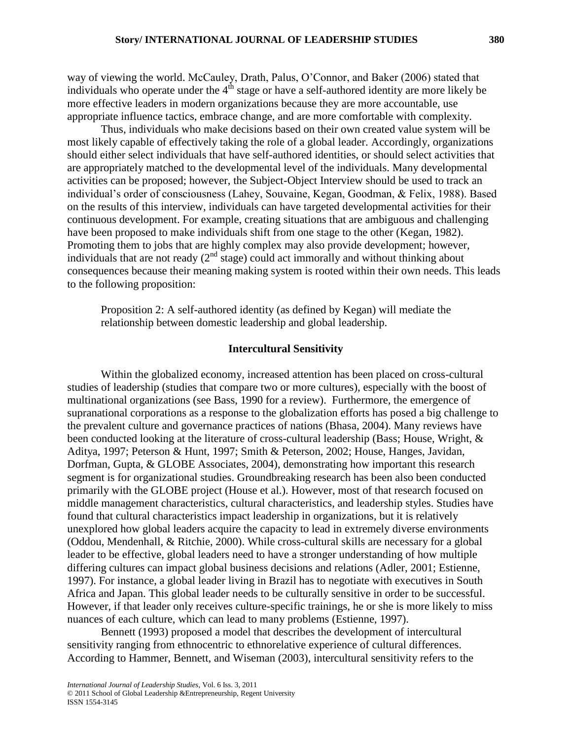way of viewing the world. McCauley, Drath, Palus, O'Connor, and Baker (2006) stated that individuals who operate under the  $4<sup>th</sup>$  stage or have a self-authored identity are more likely be more effective leaders in modern organizations because they are more accountable, use appropriate influence tactics, embrace change, and are more comfortable with complexity.

Thus, individuals who make decisions based on their own created value system will be most likely capable of effectively taking the role of a global leader. Accordingly, organizations should either select individuals that have self-authored identities, or should select activities that are appropriately matched to the developmental level of the individuals. Many developmental activities can be proposed; however, the Subject-Object Interview should be used to track an individual's order of consciousness (Lahey, Souvaine, Kegan, Goodman, & Felix, 1988). Based on the results of this interview, individuals can have targeted developmental activities for their continuous development. For example, creating situations that are ambiguous and challenging have been proposed to make individuals shift from one stage to the other (Kegan, 1982). Promoting them to jobs that are highly complex may also provide development; however, individuals that are not ready  $(2^{nd}$  stage) could act immorally and without thinking about consequences because their meaning making system is rooted within their own needs. This leads to the following proposition:

Proposition 2: A self-authored identity (as defined by Kegan) will mediate the relationship between domestic leadership and global leadership.

### **Intercultural Sensitivity**

Within the globalized economy, increased attention has been placed on cross-cultural studies of leadership (studies that compare two or more cultures), especially with the boost of multinational organizations (see Bass, 1990 for a review). Furthermore, the emergence of supranational corporations as a response to the globalization efforts has posed a big challenge to the prevalent culture and governance practices of nations (Bhasa, 2004). Many reviews have been conducted looking at the literature of cross-cultural leadership (Bass; House, Wright, & Aditya, 1997; Peterson & Hunt, 1997; Smith & Peterson, 2002; House, Hanges, Javidan, Dorfman, Gupta, & GLOBE Associates, 2004), demonstrating how important this research segment is for organizational studies. Groundbreaking research has been also been conducted primarily with the GLOBE project (House et al.). However, most of that research focused on middle management characteristics, cultural characteristics, and leadership styles. Studies have found that cultural characteristics impact leadership in organizations, but it is relatively unexplored how global leaders acquire the capacity to lead in extremely diverse environments (Oddou, Mendenhall, & Ritchie, 2000). While cross-cultural skills are necessary for a global leader to be effective, global leaders need to have a stronger understanding of how multiple differing cultures can impact global business decisions and relations (Adler, 2001; Estienne, 1997). For instance, a global leader living in Brazil has to negotiate with executives in South Africa and Japan. This global leader needs to be culturally sensitive in order to be successful. However, if that leader only receives culture-specific trainings, he or she is more likely to miss nuances of each culture, which can lead to many problems (Estienne, 1997).

Bennett (1993) proposed a model that describes the development of intercultural sensitivity ranging from ethnocentric to ethnorelative experience of cultural differences. According to Hammer, Bennett, and Wiseman (2003), intercultural sensitivity refers to the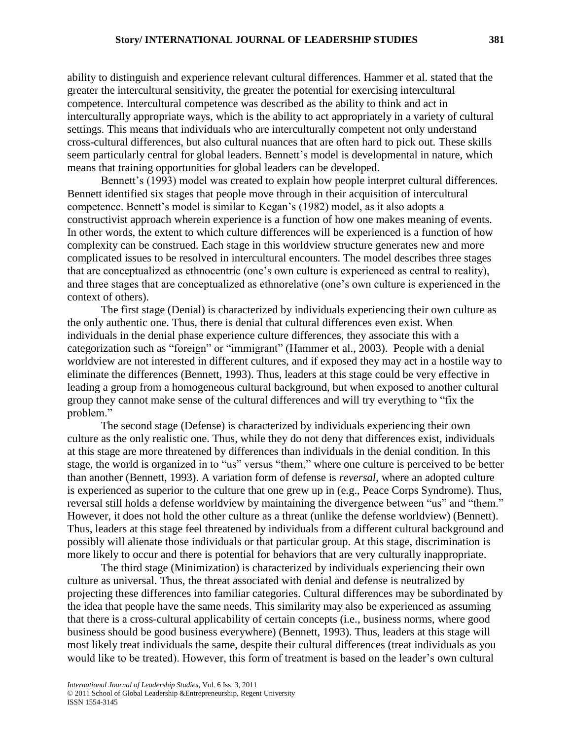ability to distinguish and experience relevant cultural differences. Hammer et al. stated that the greater the intercultural sensitivity, the greater the potential for exercising intercultural competence. Intercultural competence was described as the ability to think and act in interculturally appropriate ways, which is the ability to act appropriately in a variety of cultural settings. This means that individuals who are interculturally competent not only understand cross-cultural differences, but also cultural nuances that are often hard to pick out. These skills seem particularly central for global leaders. Bennett's model is developmental in nature, which means that training opportunities for global leaders can be developed.

Bennett's (1993) model was created to explain how people interpret cultural differences. Bennett identified six stages that people move through in their acquisition of intercultural competence. Bennett's model is similar to Kegan's (1982) model, as it also adopts a constructivist approach wherein experience is a function of how one makes meaning of events. In other words, the extent to which culture differences will be experienced is a function of how complexity can be construed. Each stage in this worldview structure generates new and more complicated issues to be resolved in intercultural encounters. The model describes three stages that are conceptualized as ethnocentric (one's own culture is experienced as central to reality), and three stages that are conceptualized as ethnorelative (one's own culture is experienced in the context of others).

The first stage (Denial) is characterized by individuals experiencing their own culture as the only authentic one. Thus, there is denial that cultural differences even exist. When individuals in the denial phase experience culture differences, they associate this with a categorization such as "foreign" or "immigrant" (Hammer et al., 2003). People with a denial worldview are not interested in different cultures, and if exposed they may act in a hostile way to eliminate the differences (Bennett, 1993). Thus, leaders at this stage could be very effective in leading a group from a homogeneous cultural background, but when exposed to another cultural group they cannot make sense of the cultural differences and will try everything to "fix the problem."

The second stage (Defense) is characterized by individuals experiencing their own culture as the only realistic one. Thus, while they do not deny that differences exist, individuals at this stage are more threatened by differences than individuals in the denial condition. In this stage, the world is organized in to "us" versus "them," where one culture is perceived to be better than another (Bennett, 1993). A variation form of defense is *reversal*, where an adopted culture is experienced as superior to the culture that one grew up in (e.g., Peace Corps Syndrome). Thus, reversal still holds a defense worldview by maintaining the divergence between "us" and "them." However, it does not hold the other culture as a threat (unlike the defense worldview) (Bennett). Thus, leaders at this stage feel threatened by individuals from a different cultural background and possibly will alienate those individuals or that particular group. At this stage, discrimination is more likely to occur and there is potential for behaviors that are very culturally inappropriate.

The third stage (Minimization) is characterized by individuals experiencing their own culture as universal. Thus, the threat associated with denial and defense is neutralized by projecting these differences into familiar categories. Cultural differences may be subordinated by the idea that people have the same needs. This similarity may also be experienced as assuming that there is a cross-cultural applicability of certain concepts (i.e., business norms, where good business should be good business everywhere) (Bennett, 1993). Thus, leaders at this stage will most likely treat individuals the same, despite their cultural differences (treat individuals as you would like to be treated). However, this form of treatment is based on the leader's own cultural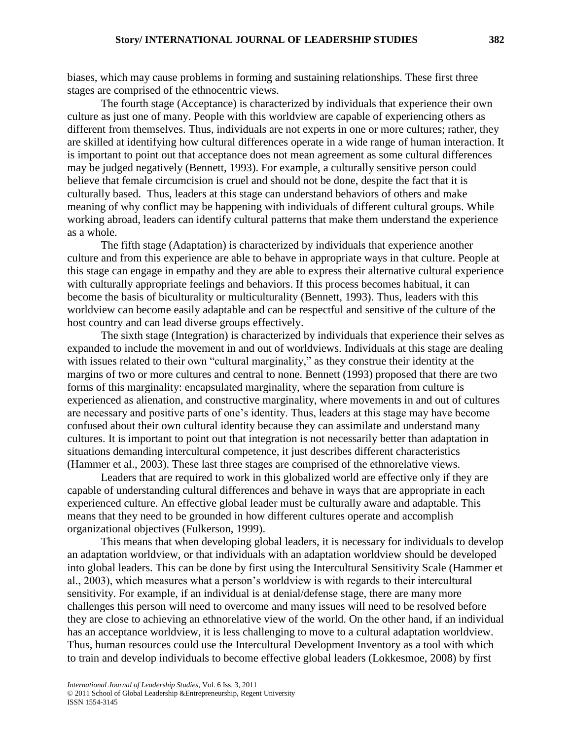biases, which may cause problems in forming and sustaining relationships. These first three stages are comprised of the ethnocentric views.

The fourth stage (Acceptance) is characterized by individuals that experience their own culture as just one of many. People with this worldview are capable of experiencing others as different from themselves. Thus, individuals are not experts in one or more cultures; rather, they are skilled at identifying how cultural differences operate in a wide range of human interaction. It is important to point out that acceptance does not mean agreement as some cultural differences may be judged negatively (Bennett, 1993). For example, a culturally sensitive person could believe that female circumcision is cruel and should not be done, despite the fact that it is culturally based. Thus, leaders at this stage can understand behaviors of others and make meaning of why conflict may be happening with individuals of different cultural groups. While working abroad, leaders can identify cultural patterns that make them understand the experience as a whole.

The fifth stage (Adaptation) is characterized by individuals that experience another culture and from this experience are able to behave in appropriate ways in that culture. People at this stage can engage in empathy and they are able to express their alternative cultural experience with culturally appropriate feelings and behaviors. If this process becomes habitual, it can become the basis of biculturality or multiculturality (Bennett, 1993). Thus, leaders with this worldview can become easily adaptable and can be respectful and sensitive of the culture of the host country and can lead diverse groups effectively.

The sixth stage (Integration) is characterized by individuals that experience their selves as expanded to include the movement in and out of worldviews. Individuals at this stage are dealing with issues related to their own "cultural marginality," as they construe their identity at the margins of two or more cultures and central to none. Bennett (1993) proposed that there are two forms of this marginality: encapsulated marginality, where the separation from culture is experienced as alienation, and constructive marginality, where movements in and out of cultures are necessary and positive parts of one's identity. Thus, leaders at this stage may have become confused about their own cultural identity because they can assimilate and understand many cultures. It is important to point out that integration is not necessarily better than adaptation in situations demanding intercultural competence, it just describes different characteristics (Hammer et al., 2003). These last three stages are comprised of the ethnorelative views.

Leaders that are required to work in this globalized world are effective only if they are capable of understanding cultural differences and behave in ways that are appropriate in each experienced culture. An effective global leader must be culturally aware and adaptable. This means that they need to be grounded in how different cultures operate and accomplish organizational objectives (Fulkerson, 1999).

This means that when developing global leaders, it is necessary for individuals to develop an adaptation worldview, or that individuals with an adaptation worldview should be developed into global leaders. This can be done by first using the Intercultural Sensitivity Scale (Hammer et al., 2003), which measures what a person's worldview is with regards to their intercultural sensitivity. For example, if an individual is at denial/defense stage, there are many more challenges this person will need to overcome and many issues will need to be resolved before they are close to achieving an ethnorelative view of the world. On the other hand, if an individual has an acceptance worldview, it is less challenging to move to a cultural adaptation worldview. Thus, human resources could use the Intercultural Development Inventory as a tool with which to train and develop individuals to become effective global leaders (Lokkesmoe, 2008) by first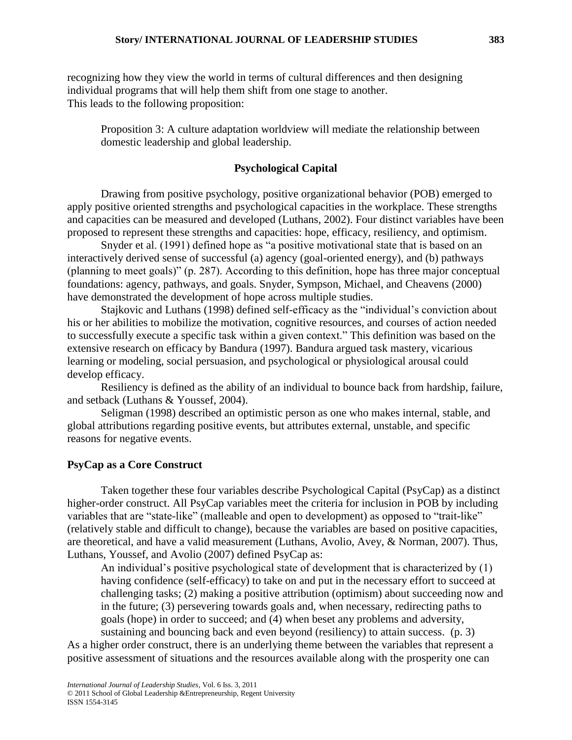recognizing how they view the world in terms of cultural differences and then designing individual programs that will help them shift from one stage to another. This leads to the following proposition:

Proposition 3: A culture adaptation worldview will mediate the relationship between domestic leadership and global leadership.

# **Psychological Capital**

Drawing from positive psychology, positive organizational behavior (POB) emerged to apply positive oriented strengths and psychological capacities in the workplace. These strengths and capacities can be measured and developed (Luthans, 2002). Four distinct variables have been proposed to represent these strengths and capacities: hope, efficacy, resiliency, and optimism.

Snyder et al. (1991) defined hope as "a positive motivational state that is based on an interactively derived sense of successful (a) agency (goal-oriented energy), and (b) pathways (planning to meet goals)" (p. 287). According to this definition, hope has three major conceptual foundations: agency, pathways, and goals. Snyder, Sympson, Michael, and Cheavens (2000) have demonstrated the development of hope across multiple studies.

Stajkovic and Luthans (1998) defined self-efficacy as the "individual's conviction about his or her abilities to mobilize the motivation, cognitive resources, and courses of action needed to successfully execute a specific task within a given context." This definition was based on the extensive research on efficacy by Bandura (1997). Bandura argued task mastery, vicarious learning or modeling, social persuasion, and psychological or physiological arousal could develop efficacy.

Resiliency is defined as the ability of an individual to bounce back from hardship, failure, and setback (Luthans & Youssef, 2004).

Seligman (1998) described an optimistic person as one who makes internal, stable, and global attributions regarding positive events, but attributes external, unstable, and specific reasons for negative events.

## **PsyCap as a Core Construct**

Taken together these four variables describe Psychological Capital (PsyCap) as a distinct higher-order construct. All PsyCap variables meet the criteria for inclusion in POB by including variables that are "state-like" (malleable and open to development) as opposed to "trait-like" (relatively stable and difficult to change), because the variables are based on positive capacities, are theoretical, and have a valid measurement (Luthans, Avolio, Avey, & Norman, 2007). Thus, Luthans, Youssef, and Avolio (2007) defined PsyCap as:

An individual's positive psychological state of development that is characterized by (1) having confidence (self-efficacy) to take on and put in the necessary effort to succeed at challenging tasks; (2) making a positive attribution (optimism) about succeeding now and in the future; (3) persevering towards goals and, when necessary, redirecting paths to goals (hope) in order to succeed; and (4) when beset any problems and adversity,

sustaining and bouncing back and even beyond (resiliency) to attain success. (p. 3) As a higher order construct, there is an underlying theme between the variables that represent a positive assessment of situations and the resources available along with the prosperity one can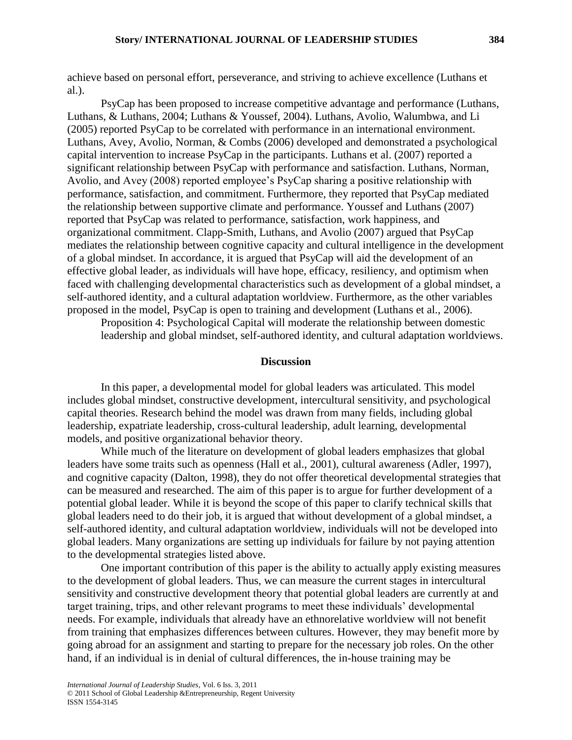achieve based on personal effort, perseverance, and striving to achieve excellence (Luthans et al.).

PsyCap has been proposed to increase competitive advantage and performance (Luthans, Luthans, & Luthans, 2004; Luthans & Youssef, 2004). Luthans, Avolio, Walumbwa, and Li (2005) reported PsyCap to be correlated with performance in an international environment. Luthans, Avey, Avolio, Norman, & Combs (2006) developed and demonstrated a psychological capital intervention to increase PsyCap in the participants. Luthans et al. (2007) reported a significant relationship between PsyCap with performance and satisfaction. Luthans, Norman, Avolio, and Avey (2008) reported employee's PsyCap sharing a positive relationship with performance, satisfaction, and commitment. Furthermore, they reported that PsyCap mediated the relationship between supportive climate and performance. Youssef and Luthans (2007) reported that PsyCap was related to performance, satisfaction, work happiness, and organizational commitment. Clapp-Smith, Luthans, and Avolio (2007) argued that PsyCap mediates the relationship between cognitive capacity and cultural intelligence in the development of a global mindset. In accordance, it is argued that PsyCap will aid the development of an effective global leader, as individuals will have hope, efficacy, resiliency, and optimism when faced with challenging developmental characteristics such as development of a global mindset, a self-authored identity, and a cultural adaptation worldview. Furthermore, as the other variables proposed in the model, PsyCap is open to training and development (Luthans et al., 2006).

Proposition 4: Psychological Capital will moderate the relationship between domestic leadership and global mindset, self-authored identity, and cultural adaptation worldviews.

#### **Discussion**

In this paper, a developmental model for global leaders was articulated. This model includes global mindset, constructive development, intercultural sensitivity, and psychological capital theories. Research behind the model was drawn from many fields, including global leadership, expatriate leadership, cross-cultural leadership, adult learning, developmental models, and positive organizational behavior theory.

While much of the literature on development of global leaders emphasizes that global leaders have some traits such as openness (Hall et al., 2001), cultural awareness (Adler, 1997), and cognitive capacity (Dalton, 1998), they do not offer theoretical developmental strategies that can be measured and researched. The aim of this paper is to argue for further development of a potential global leader. While it is beyond the scope of this paper to clarify technical skills that global leaders need to do their job, it is argued that without development of a global mindset, a self-authored identity, and cultural adaptation worldview, individuals will not be developed into global leaders. Many organizations are setting up individuals for failure by not paying attention to the developmental strategies listed above.

One important contribution of this paper is the ability to actually apply existing measures to the development of global leaders. Thus, we can measure the current stages in intercultural sensitivity and constructive development theory that potential global leaders are currently at and target training, trips, and other relevant programs to meet these individuals' developmental needs. For example, individuals that already have an ethnorelative worldview will not benefit from training that emphasizes differences between cultures. However, they may benefit more by going abroad for an assignment and starting to prepare for the necessary job roles. On the other hand, if an individual is in denial of cultural differences, the in-house training may be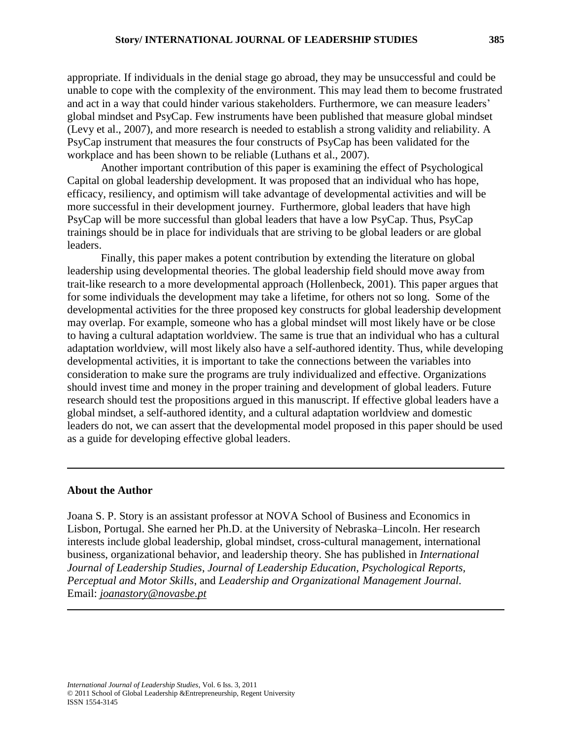appropriate. If individuals in the denial stage go abroad, they may be unsuccessful and could be unable to cope with the complexity of the environment. This may lead them to become frustrated and act in a way that could hinder various stakeholders. Furthermore, we can measure leaders' global mindset and PsyCap. Few instruments have been published that measure global mindset (Levy et al., 2007), and more research is needed to establish a strong validity and reliability. A PsyCap instrument that measures the four constructs of PsyCap has been validated for the workplace and has been shown to be reliable (Luthans et al., 2007).

Another important contribution of this paper is examining the effect of Psychological Capital on global leadership development. It was proposed that an individual who has hope, efficacy, resiliency, and optimism will take advantage of developmental activities and will be more successful in their development journey. Furthermore, global leaders that have high PsyCap will be more successful than global leaders that have a low PsyCap. Thus, PsyCap trainings should be in place for individuals that are striving to be global leaders or are global leaders.

Finally, this paper makes a potent contribution by extending the literature on global leadership using developmental theories. The global leadership field should move away from trait-like research to a more developmental approach (Hollenbeck, 2001). This paper argues that for some individuals the development may take a lifetime, for others not so long. Some of the developmental activities for the three proposed key constructs for global leadership development may overlap. For example, someone who has a global mindset will most likely have or be close to having a cultural adaptation worldview. The same is true that an individual who has a cultural adaptation worldview, will most likely also have a self-authored identity. Thus, while developing developmental activities, it is important to take the connections between the variables into consideration to make sure the programs are truly individualized and effective. Organizations should invest time and money in the proper training and development of global leaders. Future research should test the propositions argued in this manuscript. If effective global leaders have a global mindset, a self-authored identity, and a cultural adaptation worldview and domestic leaders do not, we can assert that the developmental model proposed in this paper should be used as a guide for developing effective global leaders.

#### **About the Author**

Joana S. P. Story is an assistant professor at NOVA School of Business and Economics in Lisbon, Portugal. She earned her Ph.D. at the University of Nebraska–Lincoln. Her research interests include global leadership, global mindset, cross-cultural management, international business, organizational behavior, and leadership theory. She has published in *International Journal of Leadership Studies*, *Journal of Leadership Education*, *Psychological Reports, Perceptual and Motor Skills*, and *Leadership and Organizational Management Journal.*  Email: *joanastory@novasbe.pt*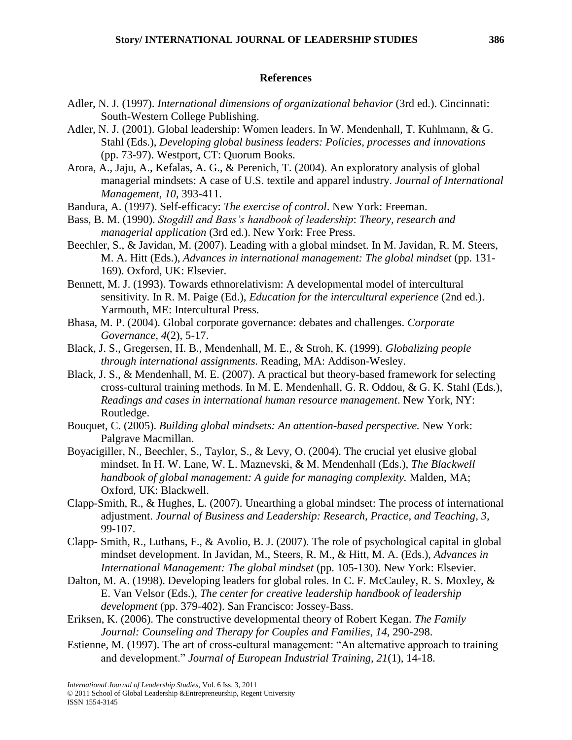#### **References**

- Adler, N. J. (1997). *International dimensions of organizational behavior* (3rd ed.). Cincinnati: South-Western College Publishing.
- Adler, N. J. (2001). Global leadership: Women leaders. In W. Mendenhall, T. Kuhlmann, & G. Stahl (Eds.), *Developing global business leaders: Policies, processes and innovations* (pp. 73-97). Westport, CT: Quorum Books.
- Arora, A., Jaju, A., Kefalas, A. G., & Perenich, T. (2004). An exploratory analysis of global managerial mindsets: A case of U.S. textile and apparel industry. *Journal of International Management, 10,* 393-411.
- Bandura, A. (1997). Self-efficacy: *The exercise of control*. New York: Freeman.
- Bass, B. M. (1990). *Stogdill and Bass's handbook of leadership*: *Theory, research and managerial application* (3rd ed.). New York: Free Press.
- Beechler, S., & Javidan, M. (2007). Leading with a global mindset. In M. Javidan, R. M. Steers, M. A. Hitt (Eds.), *Advances in international management: The global mindset* (pp. 131- 169). Oxford, UK: Elsevier.
- Bennett, M. J. (1993). Towards ethnorelativism: A developmental model of intercultural sensitivity. In R. M. Paige (Ed.), *Education for the intercultural experience* (2nd ed.). Yarmouth, ME: Intercultural Press.
- Bhasa, M. P. (2004). Global corporate governance: debates and challenges. *Corporate Governance, 4*(2), 5-17.
- Black, J. S., Gregersen, H. B., Mendenhall, M. E., & Stroh, K. (1999). *Globalizing people through international assignments.* Reading, MA: Addison-Wesley.
- Black, J. S., & Mendenhall, M. E. (2007). A practical but theory-based framework for selecting cross-cultural training methods. In M. E. Mendenhall, G. R. Oddou, & G. K. Stahl (Eds.), *Readings and cases in international human resource management*. New York, NY: Routledge.
- Bouquet, C. (2005). *Building global mindsets: An attention-based perspective.* New York: Palgrave Macmillan.
- Boyacigiller, N., Beechler, S., Taylor, S., & Levy, O. (2004). The crucial yet elusive global mindset. In H. W. Lane, W. L. Maznevski, & M. Mendenhall (Eds.), *The Blackwell handbook of global management: A guide for managing complexity.* Malden, MA; Oxford, UK: Blackwell.
- Clapp-Smith, R., & Hughes, L. (2007). Unearthing a global mindset: The process of international adjustment. *Journal of Business and Leadership: Research, Practice, and Teaching, 3,* 99-107.
- Clapp- Smith, R., Luthans, F., & Avolio, B. J. (2007). The role of psychological capital in global mindset development. In Javidan, M., Steers, R. M., & Hitt, M. A. (Eds.), *Advances in International Management: The global mindset* (pp. 105-130)*.* New York: Elsevier.
- Dalton, M. A. (1998). Developing leaders for global roles. In C. F. McCauley, R. S. Moxley, & E. Van Velsor (Eds.), *The center for creative leadership handbook of leadership development* (pp. 379-402). San Francisco: Jossey-Bass.
- Eriksen, K. (2006). The constructive developmental theory of Robert Kegan. *The Family Journal: Counseling and Therapy for Couples and Families, 14*, 290-298.
- Estienne, M. (1997). The art of cross-cultural management: "An alternative approach to training and development.‖ *Journal of European Industrial Training, 21*(1), 14-18.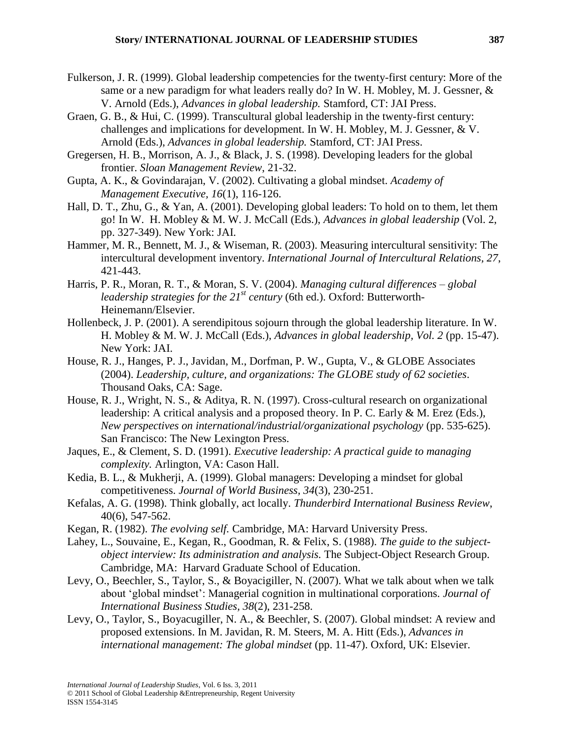- Fulkerson, J. R. (1999). Global leadership competencies for the twenty-first century: More of the same or a new paradigm for what leaders really do? In W. H. Mobley, M. J. Gessner, & V. Arnold (Eds.), *Advances in global leadership.* Stamford, CT: JAI Press.
- Graen, G. B., & Hui, C. (1999). Transcultural global leadership in the twenty-first century: challenges and implications for development. In W. H. Mobley, M. J. Gessner, & V. Arnold (Eds.), *Advances in global leadership.* Stamford, CT: JAI Press.
- Gregersen, H. B., Morrison, A. J., & Black, J. S. (1998). Developing leaders for the global frontier. *Sloan Management Review*, 21-32.
- Gupta, A. K., & Govindarajan, V. (2002). Cultivating a global mindset. *Academy of Management Executive, 16*(1), 116-126.
- Hall, D. T., Zhu, G., & Yan, A. (2001). Developing global leaders: To hold on to them, let them go! In W. H. Mobley & M. W. J. McCall (Eds.), *Advances in global leadership* (Vol. 2, pp. 327-349). New York: JAI.
- Hammer, M. R., Bennett, M. J., & Wiseman, R. (2003). Measuring intercultural sensitivity: The intercultural development inventory. *International Journal of Intercultural Relations, 27*, 421-443.
- Harris, P. R., Moran, R. T., & Moran, S. V. (2004). *Managing cultural differences – global leadership strategies for the 21st century* (6th ed.). Oxford: Butterworth-Heinemann/Elsevier.
- Hollenbeck, J. P. (2001). A serendipitous sojourn through the global leadership literature. In W. H. Mobley & M. W. J. McCall (Eds.), *Advances in global leadership, Vol. 2* (pp. 15-47). New York: JAI.
- House, R. J., Hanges, P. J., Javidan, M., Dorfman, P. W., Gupta, V., & GLOBE Associates (2004). *Leadership, culture, and organizations: The GLOBE study of 62 societies*. Thousand Oaks, CA: Sage.
- House, R. J., Wright, N. S., & Aditya, R. N. (1997). Cross-cultural research on organizational leadership: A critical analysis and a proposed theory. In P. C. Early & M. Erez (Eds.), *New perspectives on international/industrial/organizational psychology* (pp. 535-625). San Francisco: The New Lexington Press.
- Jaques, E., & Clement, S. D. (1991). *Executive leadership: A practical guide to managing complexity.* Arlington, VA: Cason Hall.
- Kedia, B. L., & Mukherji, A. (1999). Global managers: Developing a mindset for global competitiveness. *Journal of World Business, 34*(3), 230-251.
- Kefalas, A. G. (1998). Think globally, act locally. *Thunderbird International Business Review*, 40(6), 547-562.
- Kegan, R. (1982). *The evolving self.* Cambridge, MA: Harvard University Press.
- Lahey, L., Souvaine, E., Kegan, R., Goodman, R. & Felix, S. (1988). *The guide to the subjectobject interview: Its administration and analysis.* The Subject-Object Research Group. Cambridge, MA: Harvard Graduate School of Education.
- Levy, O., Beechler, S., Taylor, S., & Boyacigiller, N. (2007). What we talk about when we talk about ‗global mindset': Managerial cognition in multinational corporations. *Journal of International Business Studies, 38*(2), 231-258.
- Levy, O., Taylor, S., Boyacugiller, N. A., & Beechler, S. (2007). Global mindset: A review and proposed extensions. In M. Javidan, R. M. Steers, M. A. Hitt (Eds.), *Advances in international management: The global mindset* (pp. 11-47). Oxford, UK: Elsevier.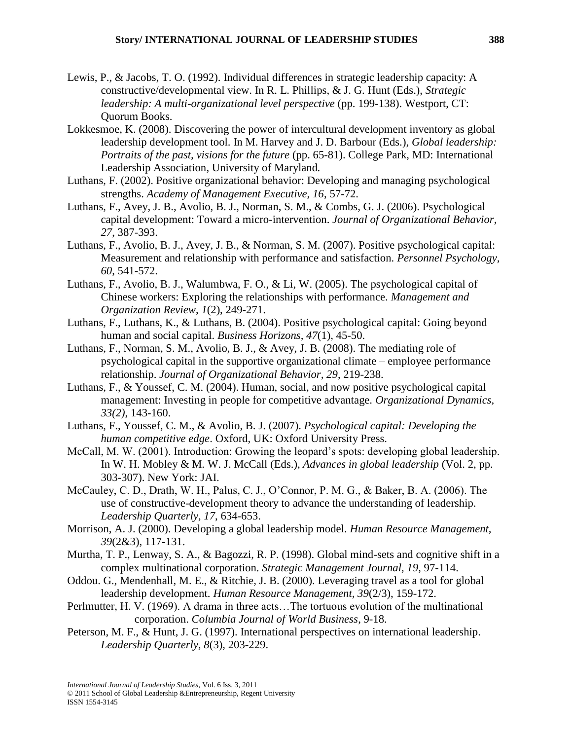- Lewis, P., & Jacobs, T. O. (1992). Individual differences in strategic leadership capacity: A constructive/developmental view. In R. L. Phillips, & J. G. Hunt (Eds.), *Strategic leadership: A multi-organizational level perspective* (pp. 199-138). Westport, CT: Quorum Books.
- Lokkesmoe, K. (2008). Discovering the power of intercultural development inventory as global leadership development tool. In M. Harvey and J. D. Barbour (Eds.), *Global leadership: Portraits of the past, visions for the future* (pp. 65-81). College Park, MD: International Leadership Association, University of Maryland*.*
- Luthans, F. (2002). Positive organizational behavior: Developing and managing psychological strengths. *Academy of Management Executive, 16*, 57-72.
- Luthans, F., Avey, J. B., Avolio, B. J., Norman, S. M., & Combs, G. J. (2006). Psychological capital development: Toward a micro-intervention. *Journal of Organizational Behavior, 27*, 387-393.
- Luthans, F., Avolio, B. J., Avey, J. B., & Norman, S. M. (2007). Positive psychological capital: Measurement and relationship with performance and satisfaction. *Personnel Psychology, 60*, 541-572.
- Luthans, F., Avolio, B. J., Walumbwa, F. O., & Li, W. (2005). The psychological capital of Chinese workers: Exploring the relationships with performance. *Management and Organization Review*, *1*(2), 249-271.
- Luthans, F., Luthans, K., & Luthans, B. (2004). Positive psychological capital: Going beyond human and social capital. *Business Horizons, 47*(1), 45-50.
- Luthans, F., Norman, S. M., Avolio, B. J., & Avey, J. B. (2008). The mediating role of psychological capital in the supportive organizational climate – employee performance relationship. *Journal of Organizational Behavior, 29*, 219-238.
- Luthans, F., & Youssef, C. M. (2004). Human, social, and now positive psychological capital management: Investing in people for competitive advantage. *Organizational Dynamics, 33(2)*, 143-160.
- Luthans, F., Youssef, C. M., & Avolio, B. J. (2007). *Psychological capital: Developing the human competitive edge*. Oxford, UK: Oxford University Press.
- McCall, M. W. (2001). Introduction: Growing the leopard's spots: developing global leadership. In W. H. Mobley & M. W. J. McCall (Eds.), *Advances in global leadership* (Vol. 2, pp. 303-307). New York: JAI.
- McCauley, C. D., Drath, W. H., Palus, C. J., O'Connor, P. M. G., & Baker, B. A. (2006). The use of constructive-development theory to advance the understanding of leadership. *Leadership Quarterly, 17*, 634-653.
- Morrison, A. J. (2000). Developing a global leadership model. *Human Resource Management, 39*(2&3), 117-131.
- Murtha, T. P., Lenway, S. A., & Bagozzi, R. P. (1998). Global mind-sets and cognitive shift in a complex multinational corporation. *Strategic Management Journal, 19*, 97-114.
- Oddou. G., Mendenhall, M. E., & Ritchie, J. B. (2000). Leveraging travel as a tool for global leadership development. *Human Resource Management, 39*(2/3), 159-172.
- Perlmutter, H. V. (1969). A drama in three acts…The tortuous evolution of the multinational corporation. *Columbia Journal of World Business*, 9-18.
- Peterson, M. F., & Hunt, J. G. (1997). International perspectives on international leadership. *Leadership Quarterly, 8*(3), 203-229.